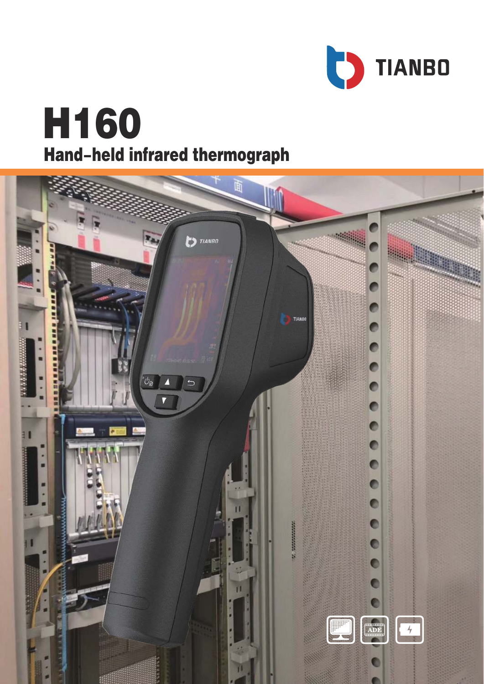

# **H160 Hand-held infrared thermograph**

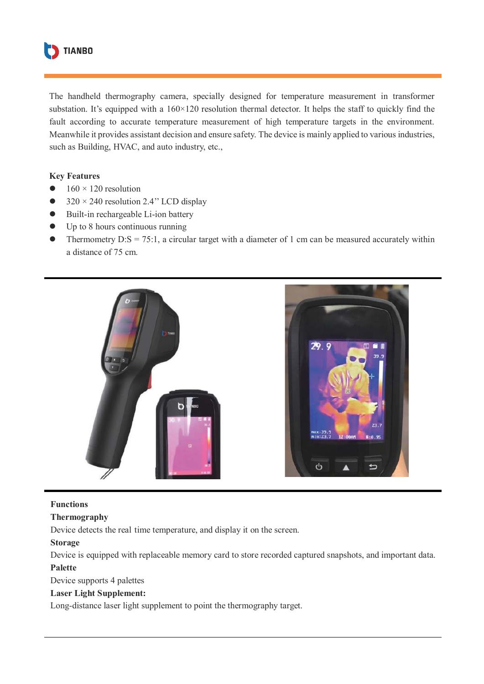

The handheld thermography camera, specially designed for temperature measurement in transformer substation. It's equipped with a  $160\times120$  resolution thermal detector. It helps the staff to quickly find the fault according to accurate temperature measurement of high temperature targets in the environment. Meanwhile it provides assistant decision and ensure safety. The device is mainly applied to various industries, such as Building, HVAC, and auto industry, etc.,

#### **Key Features**

- $160 \times 120$  resolution
- $\bullet$  320 × 240 resolution 2.4" LCD display
- Built-in rechargeable Li-ion battery
- Up to 8 hours continuous running
- Thermometry  $D: S = 75:1$ , a circular target with a diameter of 1 cm can be measured accurately within a distance of 75 cm.



#### **Functions**

#### **Thermography**

Device detects the real time temperature, and display it on the screen.

#### **Storage**

Device is equipped with replaceable memory card to store recorded captured snapshots, and important data. **Palette** 

Device supports 4 palettes

#### **Laser Light Supplement:**

Long-distance laser light supplement to point the thermography target.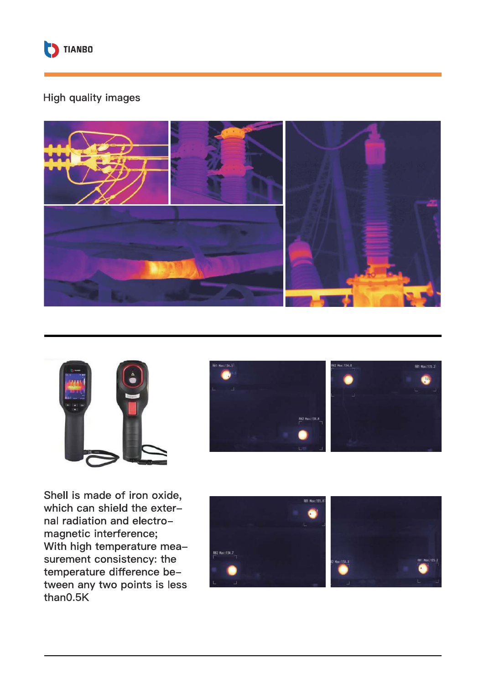

## High quality images









Shell is made of iron oxide, which can shield the external radiation and electromagnetic interference; With high temperature measurement consistency: the temperature difference between any two points is less than0.5K